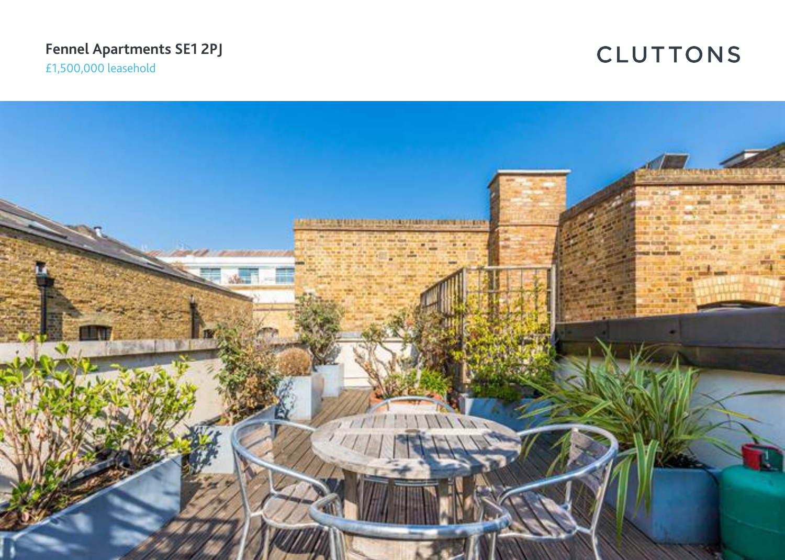### **Fennel Apartments SE1 2PJ**

£1,500,000 leasehold

# **CLUTTONS**

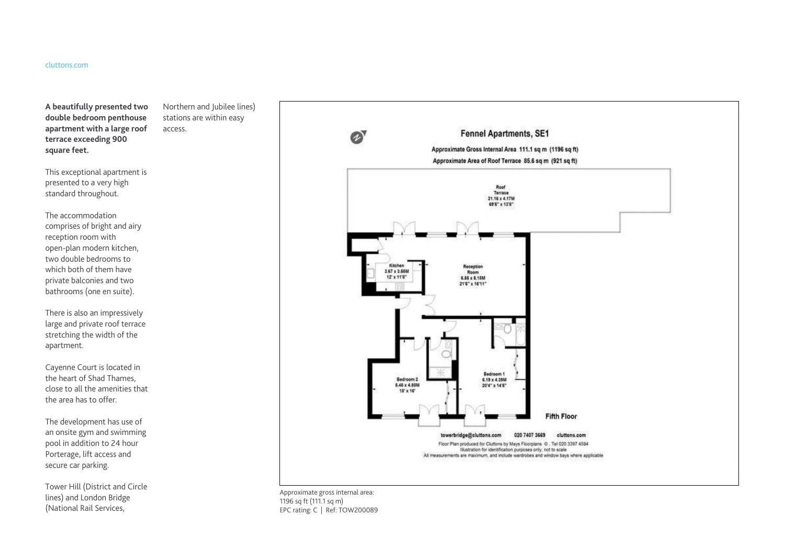### cluttons.com

**A beautifully presented two double bedroom penthouse apartment with a large roof terrace exceeding 900 square feet.**

Northern and Jubilee lines) stations are within easy

access.

This exceptional apartment is presented to a very high standard throughout.

The accommodation comprises of bright and airy reception room with open-plan modern kitchen, two double bedrooms to which both of them have private balconies and two bathrooms (one en suite).

There is also an impressively large and private roof terrace stretching the width of the apartment.

Cayenne Court is located in the heart of Shad Thames, close to all the amenities that the area has to offer.

The development has use of an onsite gym and swimming pool in addition to 24 hour Porterage, lift access and secure car parking.

Tower Hill (District and Circle lines) and London Bridge (National Rail Services,



**Fennel Apartments, SE1** 

Approximate Gross Internal Area 111.1 sq m (1196 sq ft)

Illustration for identification purposes only, not to scale All measurements are maximum, and include wardrobes and window bays where applicable

Approximate gross internal area: 1196 sq ft (111.1 sq m) EPC rating: C | Ref: TOW200089

 $\boldsymbol{\omega}$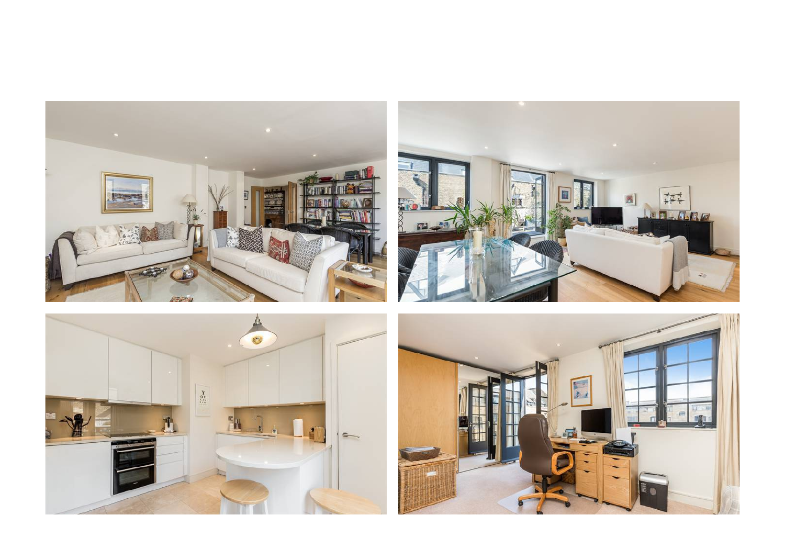